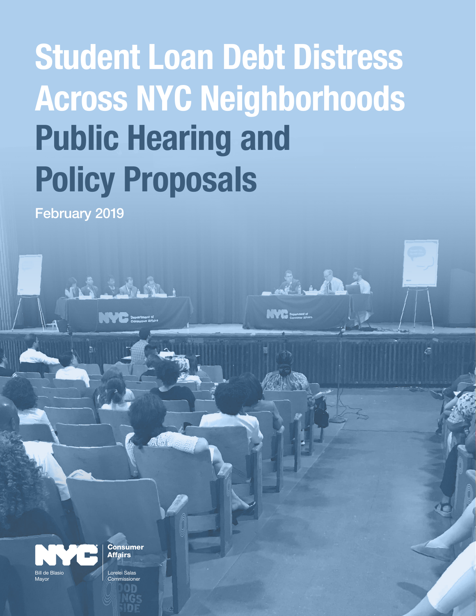# Student Loan Debt Distress Across NYC Neighborhoods Public Hearing and Policy Proposals

February 2019

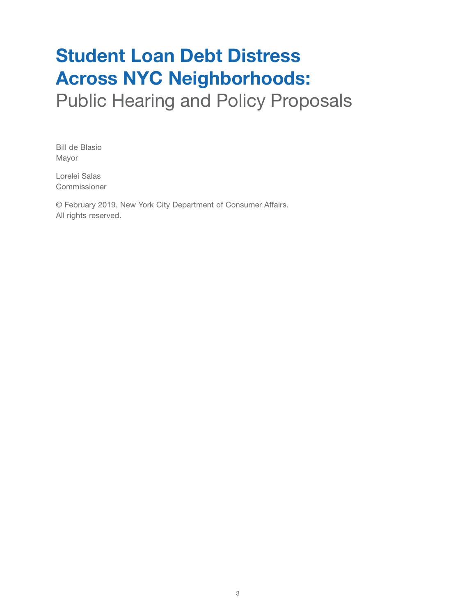# Student Loan Debt Distress Across NYC Neighborhoods:

Public Hearing and Policy Proposals

Bill de Blasio Mayor

Lorelei Salas Commissioner

© February 2019. New York City Department of Consumer Affairs. All rights reserved.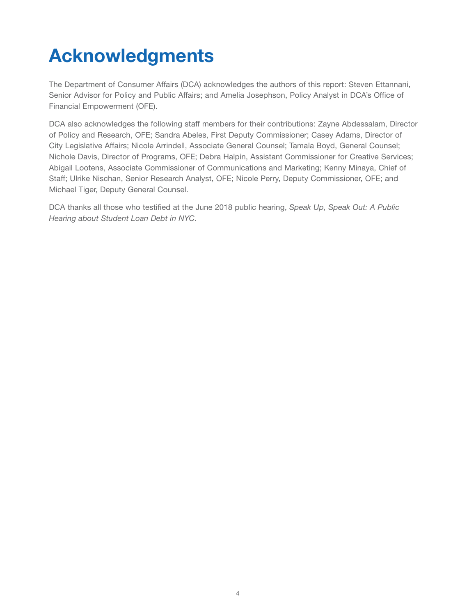# Acknowledgments

The Department of Consumer Affairs (DCA) acknowledges the authors of this report: Steven Ettannani, Senior Advisor for Policy and Public Affairs; and Amelia Josephson, Policy Analyst in DCA's Office of Financial Empowerment (OFE).

DCA also acknowledges the following staff members for their contributions: Zayne Abdessalam, Director of Policy and Research, OFE; Sandra Abeles, First Deputy Commissioner; Casey Adams, Director of City Legislative Affairs; Nicole Arrindell, Associate General Counsel; Tamala Boyd, General Counsel; Nichole Davis, Director of Programs, OFE; Debra Halpin, Assistant Commissioner for Creative Services; Abigail Lootens, Associate Commissioner of Communications and Marketing; Kenny Minaya, Chief of Staff; Ulrike Nischan, Senior Research Analyst, OFE; Nicole Perry, Deputy Commissioner, OFE; and Michael Tiger, Deputy General Counsel.

DCA thanks all those who testified at the June 2018 public hearing, *Speak Up, Speak Out: A Public Hearing about Student Loan Debt in NYC*.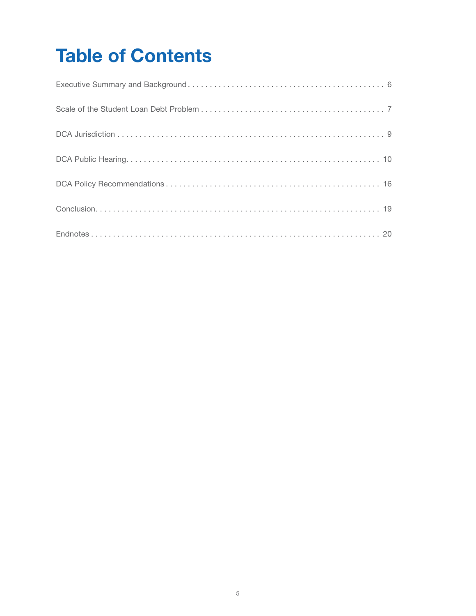# Table of Contents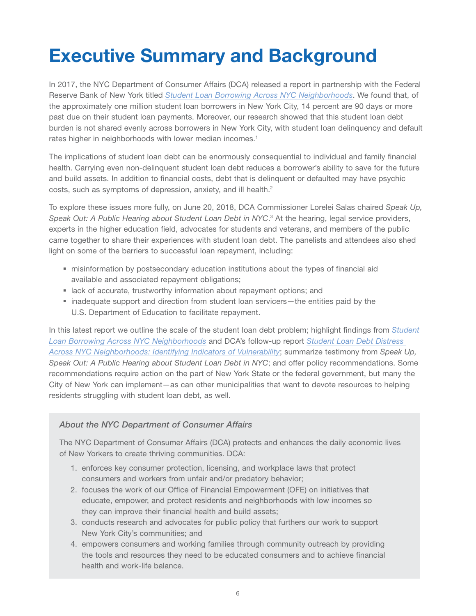# Executive Summary and Background

In 2017, the NYC Department of Consumer Affairs (DCA) released a report in partnership with the Federal Reserve Bank of New York titled *[Student Loan Borrowing Across NYC Neighborhoods](https://www.newyorkfed.org/medialibrary/media/outreach-and-education/community-development/credit-conditions/student-loan-borrowing-nyc-neighborhoods.pdf)*. We found that, of the approximately one million student loan borrowers in New York City, 14 percent are 90 days or more past due on their student loan payments. Moreover, our research showed that this student loan debt burden is not shared evenly across borrowers in New York City, with student loan delinquency and default rates higher in neighborhoods with lower median incomes.<sup>1</sup>

The implications of student loan debt can be enormously consequential to individual and family financial health. Carrying even non-delinquent student loan debt reduces a borrower's ability to save for the future and build assets. In addition to financial costs, debt that is delinquent or defaulted may have psychic costs, such as symptoms of depression, anxiety, and ill health.<sup>2</sup>

To explore these issues more fully, on June 20, 2018, DCA Commissioner Lorelei Salas chaired *Speak Up,*  Speak Out: A Public Hearing about Student Loan Debt in NYC.<sup>3</sup> At the hearing, legal service providers, experts in the higher education field, advocates for students and veterans, and members of the public came together to share their experiences with student loan debt. The panelists and attendees also shed light on some of the barriers to successful loan repayment, including:

- misinformation by postsecondary education institutions about the types of financial aid available and associated repayment obligations;
- **Example 2** lack of accurate, trustworthy information about repayment options; and
- inadequate support and direction from student loan servicers—the entities paid by the U.S. Department of Education to facilitate repayment.

In this latest report we outline the scale of the student loan debt problem; highlight findings from *[Student](https://www.newyorkfed.org/medialibrary/media/outreach-and-education/community-development/credit-conditions/student-loan-borrowing-nyc-neighborhoods.pdf)  [Loan Borrowing Across NYC Neighborhoods](https://www.newyorkfed.org/medialibrary/media/outreach-and-education/community-development/credit-conditions/student-loan-borrowing-nyc-neighborhoods.pdf)* and DCA's follow-up report *[Student Loan Debt Distress](https://www1.nyc.gov/assets/dca/downloads/pdf/partners/Research-StudentLoanDebtDistressAcrossNYCNeighborhoods.pdf)  [Across NYC Neighborhoods: Identifying Indicators of Vulnerability](https://www1.nyc.gov/assets/dca/downloads/pdf/partners/Research-StudentLoanDebtDistressAcrossNYCNeighborhoods.pdf)*; summarize testimony from *Speak Up, Speak Out: A Public Hearing about Student Loan Debt in NYC*; and offer policy recommendations. Some recommendations require action on the part of New York State or the federal government, but many the City of New York can implement—as can other municipalities that want to devote resources to helping residents struggling with student loan debt, as well.

#### *About the NYC Department of Consumer Affairs*

The NYC Department of Consumer Affairs (DCA) protects and enhances the daily economic lives of New Yorkers to create thriving communities. DCA:

- 1. enforces key consumer protection, licensing, and workplace laws that protect consumers and workers from unfair and/or predatory behavior;
- 2. focuses the work of our Office of Financial Empowerment (OFE) on initiatives that educate, empower, and protect residents and neighborhoods with low incomes so they can improve their financial health and build assets;
- 3. conducts research and advocates for public policy that furthers our work to support New York City's communities; and
- 4. empowers consumers and working families through community outreach by providing the tools and resources they need to be educated consumers and to achieve financial health and work-life balance.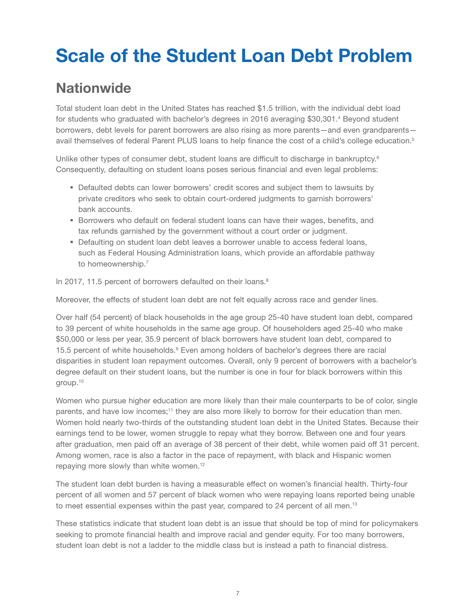# Scale of the Student Loan Debt Problem

### **Nationwide**

Total student loan debt in the United States has reached \$1.5 trillion, with the individual debt load for students who graduated with bachelor's degrees in 2016 averaging \$30,301.<sup>4</sup> Beyond student borrowers, debt levels for parent borrowers are also rising as more parents—and even grandparents avail themselves of federal Parent PLUS loans to help finance the cost of a child's college education.<sup>5</sup>

Unlike other types of consumer debt, student loans are difficult to discharge in bankruptcy.<sup>6</sup> Consequently, defaulting on student loans poses serious financial and even legal problems:

- Defaulted debts can lower borrowers' credit scores and subject them to lawsuits by private creditors who seek to obtain court-ordered judgments to garnish borrowers' bank accounts.
- **Borrowers who default on federal student loans can have their wages, benefits, and** tax refunds garnished by the government without a court order or judgment.
- **Defaulting on student loan debt leaves a borrower unable to access federal loans,** such as Federal Housing Administration loans, which provide an affordable pathway to homeownership.7

In 2017, 11.5 percent of borrowers defaulted on their loans.<sup>8</sup>

Moreover, the effects of student loan debt are not felt equally across race and gender lines.

Over half (54 percent) of black households in the age group 25-40 have student loan debt, compared to 39 percent of white households in the same age group. Of householders aged 25-40 who make \$50,000 or less per year, 35.9 percent of black borrowers have student loan debt, compared to 15.5 percent of white households.<sup>9</sup> Even among holders of bachelor's degrees there are racial disparities in student loan repayment outcomes. Overall, only 9 percent of borrowers with a bachelor's degree default on their student loans, but the number is one in four for black borrowers within this group.10

Women who pursue higher education are more likely than their male counterparts to be of color, single parents, and have low incomes;<sup>11</sup> they are also more likely to borrow for their education than men. Women hold nearly two-thirds of the outstanding student loan debt in the United States. Because their earnings tend to be lower, women struggle to repay what they borrow. Between one and four years after graduation, men paid off an average of 38 percent of their debt, while women paid off 31 percent. Among women, race is also a factor in the pace of repayment, with black and Hispanic women repaying more slowly than white women.12

The student loan debt burden is having a measurable effect on women's financial health. Thirty-four percent of all women and 57 percent of black women who were repaying loans reported being unable to meet essential expenses within the past year, compared to 24 percent of all men.<sup>13</sup>

These statistics indicate that student loan debt is an issue that should be top of mind for policymakers seeking to promote financial health and improve racial and gender equity. For too many borrowers, student loan debt is not a ladder to the middle class but is instead a path to financial distress.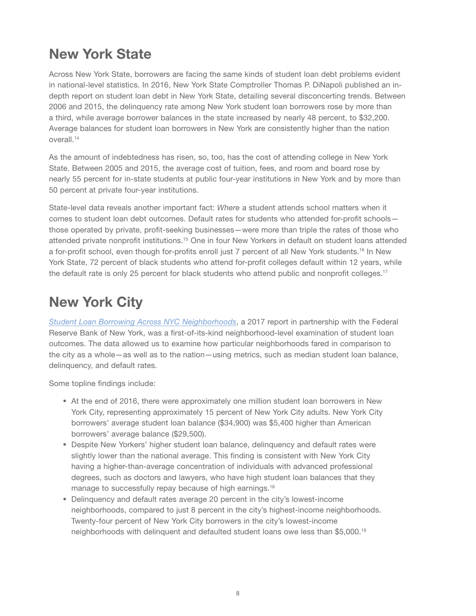### New York State

Across New York State, borrowers are facing the same kinds of student loan debt problems evident in national-level statistics. In 2016, New York State Comptroller Thomas P. DiNapoli published an indepth report on student loan debt in New York State, detailing several disconcerting trends. Between 2006 and 2015, the delinquency rate among New York student loan borrowers rose by more than a third, while average borrower balances in the state increased by nearly 48 percent, to \$32,200. Average balances for student loan borrowers in New York are consistently higher than the nation overall.14

As the amount of indebtedness has risen, so, too, has the cost of attending college in New York State. Between 2005 and 2015, the average cost of tuition, fees, and room and board rose by nearly 55 percent for in-state students at public four-year institutions in New York and by more than 50 percent at private four-year institutions.

State-level data reveals another important fact: *Where* a student attends school matters when it comes to student loan debt outcomes. Default rates for students who attended for-profit schools those operated by private, profit-seeking businesses—were more than triple the rates of those who attended private nonprofit institutions.15 One in four New Yorkers in default on student loans attended a for-profit school, even though for-profits enroll just 7 percent of all New York students.16 In New York State, 72 percent of black students who attend for-profit colleges default within 12 years, while the default rate is only 25 percent for black students who attend public and nonprofit colleges.<sup>17</sup>

### New York City

*[Student Loan Borrowing Across NYC Neighborhoods](https://www.newyorkfed.org/medialibrary/media/outreach-and-education/community-development/credit-conditions/student-loan-borrowing-nyc-neighborhoods.pdf)*, a 2017 report in partnership with the Federal Reserve Bank of New York, was a first-of-its-kind neighborhood-level examination of student loan outcomes. The data allowed us to examine how particular neighborhoods fared in comparison to the city as a whole—as well as to the nation—using metrics, such as median student loan balance, delinquency, and default rates.

Some topline findings include:

- At the end of 2016, there were approximately one million student loan borrowers in New York City, representing approximately 15 percent of New York City adults. New York City borrowers' average student loan balance (\$34,900) was \$5,400 higher than American borrowers' average balance (\$29,500).
- Despite New Yorkers' higher student loan balance, delinquency and default rates were slightly lower than the national average. This finding is consistent with New York City having a higher-than-average concentration of individuals with advanced professional degrees, such as doctors and lawyers, who have high student loan balances that they manage to successfully repay because of high earnings.<sup>18</sup>
- Delinquency and default rates average 20 percent in the city's lowest-income neighborhoods, compared to just 8 percent in the city's highest-income neighborhoods. Twenty-four percent of New York City borrowers in the city's lowest-income neighborhoods with delinquent and defaulted student loans owe less than \$5,000.19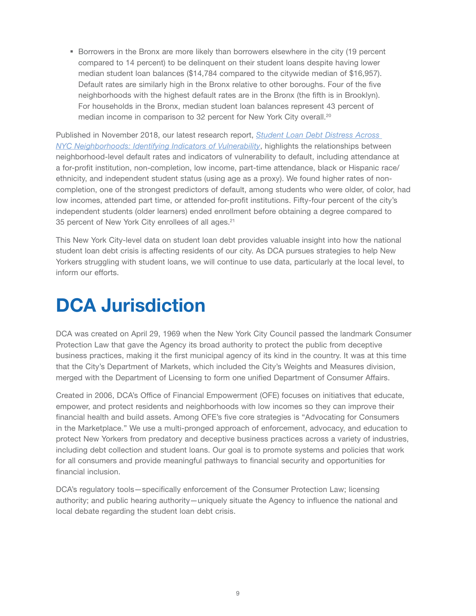**Borrowers in the Bronx are more likely than borrowers elsewhere in the city (19 percent** compared to 14 percent) to be delinquent on their student loans despite having lower median student loan balances (\$14,784 compared to the citywide median of \$16,957). Default rates are similarly high in the Bronx relative to other boroughs. Four of the five neighborhoods with the highest default rates are in the Bronx (the fifth is in Brooklyn). For households in the Bronx, median student loan balances represent 43 percent of median income in comparison to 32 percent for New York City overall.<sup>20</sup>

Published in November 2018, our latest research report, *[Student Loan Debt Distress Across](https://www1.nyc.gov/assets/dca/downloads/pdf/partners/Research-StudentLoanDebtDistressAcrossNYCNeighborhoods.pdf)  [NYC Neighborhoods: Identifying Indicators of Vulnerability](https://www1.nyc.gov/assets/dca/downloads/pdf/partners/Research-StudentLoanDebtDistressAcrossNYCNeighborhoods.pdf)*, highlights the relationships between neighborhood-level default rates and indicators of vulnerability to default, including attendance at a for-profit institution, non-completion, low income, part-time attendance, black or Hispanic race/ ethnicity, and independent student status (using age as a proxy). We found higher rates of noncompletion, one of the strongest predictors of default, among students who were older, of color, had low incomes, attended part time, or attended for-profit institutions. Fifty-four percent of the city's independent students (older learners) ended enrollment before obtaining a degree compared to 35 percent of New York City enrollees of all ages.<sup>21</sup>

This New York City-level data on student loan debt provides valuable insight into how the national student loan debt crisis is affecting residents of our city. As DCA pursues strategies to help New Yorkers struggling with student loans, we will continue to use data, particularly at the local level, to inform our efforts.

# DCA Jurisdiction

DCA was created on April 29, 1969 when the New York City Council passed the landmark Consumer Protection Law that gave the Agency its broad authority to protect the public from deceptive business practices, making it the first municipal agency of its kind in the country. It was at this time that the City's Department of Markets, which included the City's Weights and Measures division, merged with the Department of Licensing to form one unified Department of Consumer Affairs.

Created in 2006, DCA's Office of Financial Empowerment (OFE) focuses on initiatives that educate, empower, and protect residents and neighborhoods with low incomes so they can improve their financial health and build assets. Among OFE's five core strategies is "Advocating for Consumers in the Marketplace." We use a multi-pronged approach of enforcement, advocacy, and education to protect New Yorkers from predatory and deceptive business practices across a variety of industries, including debt collection and student loans. Our goal is to promote systems and policies that work for all consumers and provide meaningful pathways to financial security and opportunities for financial inclusion.

DCA's regulatory tools—specifically enforcement of the Consumer Protection Law; licensing authority; and public hearing authority—uniquely situate the Agency to influence the national and local debate regarding the student loan debt crisis.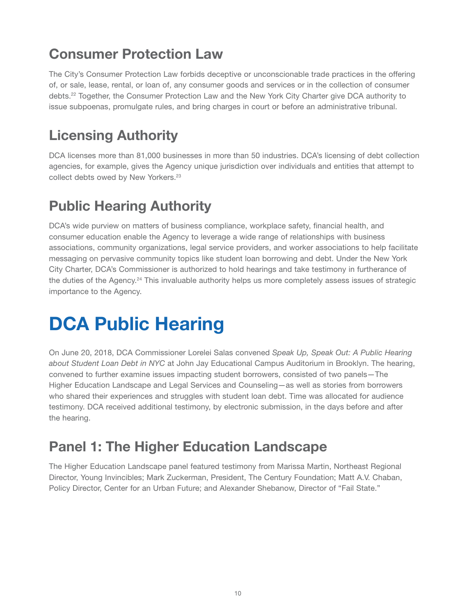# Consumer Protection Law

The City's Consumer Protection Law forbids deceptive or unconscionable trade practices in the offering of, or sale, lease, rental, or loan of, any consumer goods and services or in the collection of consumer debts.22 Together, the Consumer Protection Law and the New York City Charter give DCA authority to issue subpoenas, promulgate rules, and bring charges in court or before an administrative tribunal.

### Licensing Authority

DCA licenses more than 81,000 businesses in more than 50 industries. DCA's licensing of debt collection agencies, for example, gives the Agency unique jurisdiction over individuals and entities that attempt to collect debts owed by New Yorkers.<sup>23</sup>

## Public Hearing Authority

DCA's wide purview on matters of business compliance, workplace safety, financial health, and consumer education enable the Agency to leverage a wide range of relationships with business associations, community organizations, legal service providers, and worker associations to help facilitate messaging on pervasive community topics like student loan borrowing and debt. Under the New York City Charter, DCA's Commissioner is authorized to hold hearings and take testimony in furtherance of the duties of the Agency.<sup>24</sup> This invaluable authority helps us more completely assess issues of strategic importance to the Agency.

# **DCA Public Hearing**

On June 20, 2018, DCA Commissioner Lorelei Salas convened *Speak Up, Speak Out: A Public Hearing about Student Loan Debt in NYC* at John Jay Educational Campus Auditorium in Brooklyn. The hearing, convened to further examine issues impacting student borrowers, consisted of two panels—The Higher Education Landscape and Legal Services and Counseling—as well as stories from borrowers who shared their experiences and struggles with student loan debt. Time was allocated for audience testimony. DCA received additional testimony, by electronic submission, in the days before and after the hearing.

### Panel 1: The Higher Education Landscape

The Higher Education Landscape panel featured testimony from Marissa Martin, Northeast Regional Director, Young Invincibles; Mark Zuckerman, President, The Century Foundation; Matt A.V. Chaban, Policy Director, Center for an Urban Future; and Alexander Shebanow, Director of "Fail State."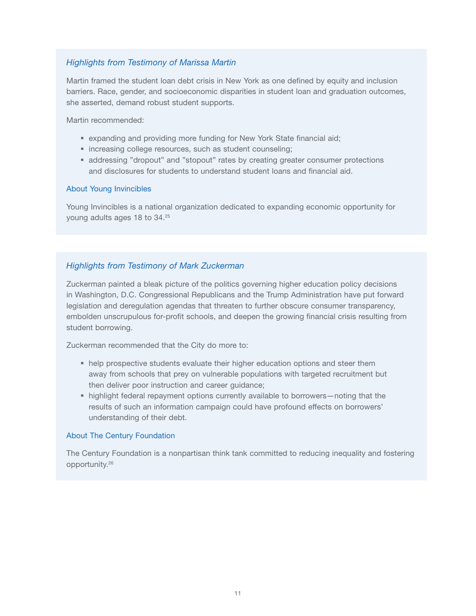#### *Highlights from Testimony of Marissa Martin*

Martin framed the student loan debt crisis in New York as one defined by equity and inclusion barriers. Race, gender, and socioeconomic disparities in student loan and graduation outcomes, she asserted, demand robust student supports.

Martin recommended:

- expanding and providing more funding for New York State financial aid;
- **Increasing college resources, such as student counseling;**
- **addressing "dropout" and "stopout" rates by creating greater consumer protections** and disclosures for students to understand student loans and financial aid.

#### About Young Invincibles

Young Invincibles is a national organization dedicated to expanding economic opportunity for young adults ages 18 to 34.25

#### *Highlights from Testimony of Mark Zuckerman*

Zuckerman painted a bleak picture of the politics governing higher education policy decisions in Washington, D.C. Congressional Republicans and the Trump Administration have put forward legislation and deregulation agendas that threaten to further obscure consumer transparency, embolden unscrupulous for-profit schools, and deepen the growing financial crisis resulting from student borrowing.

Zuckerman recommended that the City do more to:

- help prospective students evaluate their higher education options and steer them away from schools that prey on vulnerable populations with targeted recruitment but then deliver poor instruction and career guidance;
- highlight federal repayment options currently available to borrowers—noting that the results of such an information campaign could have profound effects on borrowers' understanding of their debt.

#### About The Century Foundation

The Century Foundation is a nonpartisan think tank committed to reducing inequality and fostering opportunity.26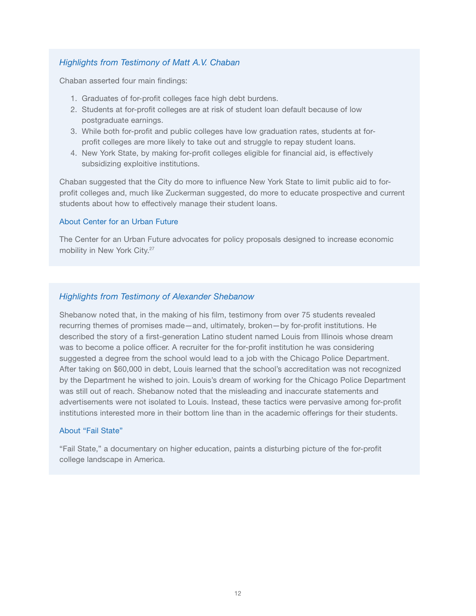#### *Highlights from Testimony of Matt A.V. Chaban*

Chaban asserted four main findings:

- 1. Graduates of for-profit colleges face high debt burdens.
- 2. Students at for-profit colleges are at risk of student loan default because of low postgraduate earnings.
- 3. While both for-profit and public colleges have low graduation rates, students at forprofit colleges are more likely to take out and struggle to repay student loans.
- 4. New York State, by making for-profit colleges eligible for financial aid, is effectively subsidizing exploitive institutions.

Chaban suggested that the City do more to influence New York State to limit public aid to forprofit colleges and, much like Zuckerman suggested, do more to educate prospective and current students about how to effectively manage their student loans.

#### About Center for an Urban Future

The Center for an Urban Future advocates for policy proposals designed to increase economic mobility in New York City.27

#### *Highlights from Testimony of Alexander Shebanow*

Shebanow noted that, in the making of his film, testimony from over 75 students revealed recurring themes of promises made—and, ultimately, broken—by for-profit institutions. He described the story of a first-generation Latino student named Louis from Illinois whose dream was to become a police officer. A recruiter for the for-profit institution he was considering suggested a degree from the school would lead to a job with the Chicago Police Department. After taking on \$60,000 in debt, Louis learned that the school's accreditation was not recognized by the Department he wished to join. Louis's dream of working for the Chicago Police Department was still out of reach. Shebanow noted that the misleading and inaccurate statements and advertisements were not isolated to Louis. Instead, these tactics were pervasive among for-profit institutions interested more in their bottom line than in the academic offerings for their students.

#### About "Fail State"

"Fail State," a documentary on higher education, paints a disturbing picture of the for-profit college landscape in America.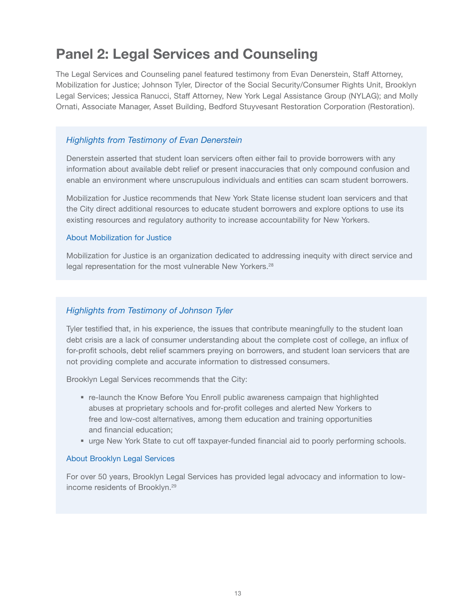### Panel 2: Legal Services and Counseling

The Legal Services and Counseling panel featured testimony from Evan Denerstein, Staff Attorney, Mobilization for Justice; Johnson Tyler, Director of the Social Security/Consumer Rights Unit, Brooklyn Legal Services; Jessica Ranucci, Staff Attorney, New York Legal Assistance Group (NYLAG); and Molly Ornati, Associate Manager, Asset Building, Bedford Stuyvesant Restoration Corporation (Restoration).

#### *Highlights from Testimony of Evan Denerstein*

Denerstein asserted that student loan servicers often either fail to provide borrowers with any information about available debt relief or present inaccuracies that only compound confusion and enable an environment where unscrupulous individuals and entities can scam student borrowers.

Mobilization for Justice recommends that New York State license student loan servicers and that the City direct additional resources to educate student borrowers and explore options to use its existing resources and regulatory authority to increase accountability for New Yorkers.

#### About Mobilization for Justice

Mobilization for Justice is an organization dedicated to addressing inequity with direct service and legal representation for the most vulnerable New Yorkers.<sup>28</sup>

#### *Highlights from Testimony of Johnson Tyler*

Tyler testified that, in his experience, the issues that contribute meaningfully to the student loan debt crisis are a lack of consumer understanding about the complete cost of college, an influx of for-profit schools, debt relief scammers preying on borrowers, and student loan servicers that are not providing complete and accurate information to distressed consumers.

Brooklyn Legal Services recommends that the City:

- re-launch the Know Before You Enroll public awareness campaign that highlighted abuses at proprietary schools and for-profit colleges and alerted New Yorkers to free and low-cost alternatives, among them education and training opportunities and financial education;
- urge New York State to cut off taxpayer-funded financial aid to poorly performing schools.

#### About Brooklyn Legal Services

For over 50 years, Brooklyn Legal Services has provided legal advocacy and information to lowincome residents of Brooklyn.<sup>29</sup>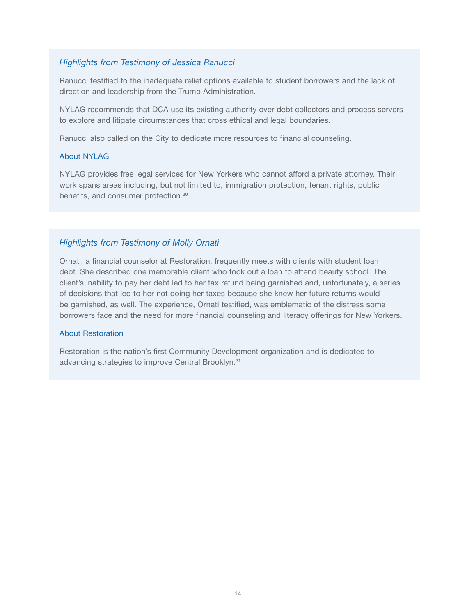#### *Highlights from Testimony of Jessica Ranucci*

Ranucci testified to the inadequate relief options available to student borrowers and the lack of direction and leadership from the Trump Administration.

NYLAG recommends that DCA use its existing authority over debt collectors and process servers to explore and litigate circumstances that cross ethical and legal boundaries.

Ranucci also called on the City to dedicate more resources to financial counseling.

#### About NYLAG

NYLAG provides free legal services for New Yorkers who cannot afford a private attorney. Their work spans areas including, but not limited to, immigration protection, tenant rights, public benefits, and consumer protection.30

#### *Highlights from Testimony of Molly Ornati*

Ornati, a financial counselor at Restoration, frequently meets with clients with student loan debt. She described one memorable client who took out a loan to attend beauty school. The client's inability to pay her debt led to her tax refund being garnished and, unfortunately, a series of decisions that led to her not doing her taxes because she knew her future returns would be garnished, as well. The experience, Ornati testified, was emblematic of the distress some borrowers face and the need for more financial counseling and literacy offerings for New Yorkers.

#### About Restoration

Restoration is the nation's first Community Development organization and is dedicated to advancing strategies to improve Central Brooklyn.31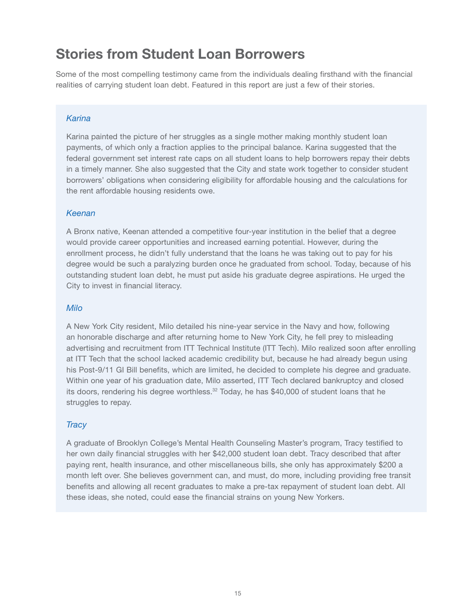### Stories from Student Loan Borrowers

Some of the most compelling testimony came from the individuals dealing firsthand with the financial realities of carrying student loan debt. Featured in this report are just a few of their stories.

#### *Karina*

Karina painted the picture of her struggles as a single mother making monthly student loan payments, of which only a fraction applies to the principal balance. Karina suggested that the federal government set interest rate caps on all student loans to help borrowers repay their debts in a timely manner. She also suggested that the City and state work together to consider student borrowers' obligations when considering eligibility for affordable housing and the calculations for the rent affordable housing residents owe.

#### *Keenan*

A Bronx native, Keenan attended a competitive four-year institution in the belief that a degree would provide career opportunities and increased earning potential. However, during the enrollment process, he didn't fully understand that the loans he was taking out to pay for his degree would be such a paralyzing burden once he graduated from school. Today, because of his outstanding student loan debt, he must put aside his graduate degree aspirations. He urged the City to invest in financial literacy.

#### *Milo*

A New York City resident, Milo detailed his nine-year service in the Navy and how, following an honorable discharge and after returning home to New York City, he fell prey to misleading advertising and recruitment from ITT Technical Institute (ITT Tech). Milo realized soon after enrolling at ITT Tech that the school lacked academic credibility but, because he had already begun using his Post-9/11 GI Bill benefits, which are limited, he decided to complete his degree and graduate. Within one year of his graduation date, Milo asserted, ITT Tech declared bankruptcy and closed its doors, rendering his degree worthless.<sup>32</sup> Today, he has \$40,000 of student loans that he struggles to repay.

#### *Tracy*

A graduate of Brooklyn College's Mental Health Counseling Master's program, Tracy testified to her own daily financial struggles with her \$42,000 student loan debt. Tracy described that after paying rent, health insurance, and other miscellaneous bills, she only has approximately \$200 a month left over. She believes government can, and must, do more, including providing free transit benefits and allowing all recent graduates to make a pre-tax repayment of student loan debt. All these ideas, she noted, could ease the financial strains on young New Yorkers.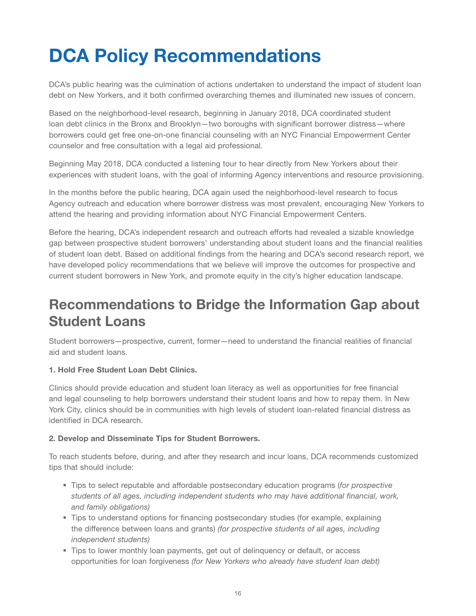# DCA Policy Recommendations

DCA's public hearing was the culmination of actions undertaken to understand the impact of student loan debt on New Yorkers, and it both confirmed overarching themes and illuminated new issues of concern.

Based on the neighborhood-level research, beginning in January 2018, DCA coordinated student loan debt clinics in the Bronx and Brooklyn—two boroughs with significant borrower distress—where borrowers could get free one-on-one financial counseling with an NYC Financial Empowerment Center counselor and free consultation with a legal aid professional.

Beginning May 2018, DCA conducted a listening tour to hear directly from New Yorkers about their experiences with student loans, with the goal of informing Agency interventions and resource provisioning.

In the months before the public hearing, DCA again used the neighborhood-level research to focus Agency outreach and education where borrower distress was most prevalent, encouraging New Yorkers to attend the hearing and providing information about NYC Financial Empowerment Centers.

Before the hearing, DCA's independent research and outreach efforts had revealed a sizable knowledge gap between prospective student borrowers' understanding about student loans and the financial realities of student loan debt. Based on additional findings from the hearing and DCA's second research report, we have developed policy recommendations that we believe will improve the outcomes for prospective and current student borrowers in New York, and promote equity in the city's higher education landscape.

### Recommendations to Bridge the Information Gap about Student Loans

Student borrowers—prospective, current, former—need to understand the financial realities of financial aid and student loans.

#### 1. Hold Free Student Loan Debt Clinics.

Clinics should provide education and student loan literacy as well as opportunities for free financial and legal counseling to help borrowers understand their student loans and how to repay them. In New York City, clinics should be in communities with high levels of student loan-related financial distress as identified in DCA research.

#### 2. Develop and Disseminate Tips for Student Borrowers.

To reach students before, during, and after they research and incur loans, DCA recommends customized tips that should include:

- Tips to select reputable and affordable postsecondary education programs (*for prospective students of all ages, including independent students who may have additional financial, work, and family obligations)*
- Tips to understand options for financing postsecondary studies (for example, explaining the difference between loans and grants) *(for prospective students of all ages, including independent students)*
- Tips to lower monthly loan payments, get out of delinquency or default, or access opportunities for loan forgiveness *(for New Yorkers who already have student loan debt)*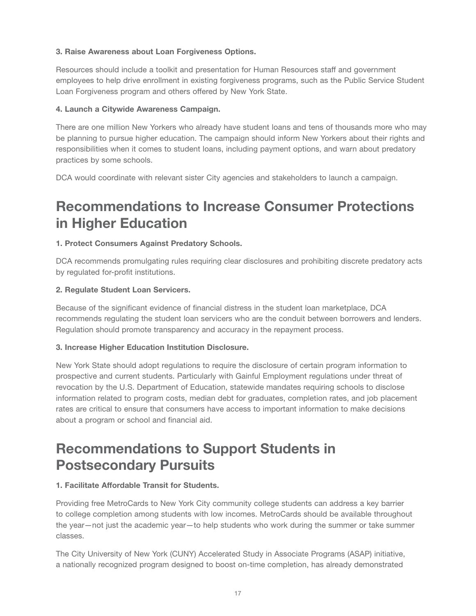#### 3. Raise Awareness about Loan Forgiveness Options.

Resources should include a toolkit and presentation for Human Resources staff and government employees to help drive enrollment in existing forgiveness programs, such as the Public Service Student Loan Forgiveness program and others offered by New York State.

#### 4. Launch a Citywide Awareness Campaign.

There are one million New Yorkers who already have student loans and tens of thousands more who may be planning to pursue higher education. The campaign should inform New Yorkers about their rights and responsibilities when it comes to student loans, including payment options, and warn about predatory practices by some schools.

DCA would coordinate with relevant sister City agencies and stakeholders to launch a campaign.

### Recommendations to Increase Consumer Protections in Higher Education

#### 1. Protect Consumers Against Predatory Schools.

DCA recommends promulgating rules requiring clear disclosures and prohibiting discrete predatory acts by regulated for-profit institutions.

#### 2. Regulate Student Loan Servicers.

Because of the significant evidence of financial distress in the student loan marketplace, DCA recommends regulating the student loan servicers who are the conduit between borrowers and lenders. Regulation should promote transparency and accuracy in the repayment process.

#### 3. Increase Higher Education Institution Disclosure.

New York State should adopt regulations to require the disclosure of certain program information to prospective and current students. Particularly with Gainful Employment regulations under threat of revocation by the U.S. Department of Education, statewide mandates requiring schools to disclose information related to program costs, median debt for graduates, completion rates, and job placement rates are critical to ensure that consumers have access to important information to make decisions about a program or school and financial aid.

### Recommendations to Support Students in Postsecondary Pursuits

#### 1. Facilitate Affordable Transit for Students.

Providing free MetroCards to New York City community college students can address a key barrier to college completion among students with low incomes. MetroCards should be available throughout the year—not just the academic year—to help students who work during the summer or take summer classes.

The City University of New York (CUNY) Accelerated Study in Associate Programs (ASAP) initiative, a nationally recognized program designed to boost on-time completion, has already demonstrated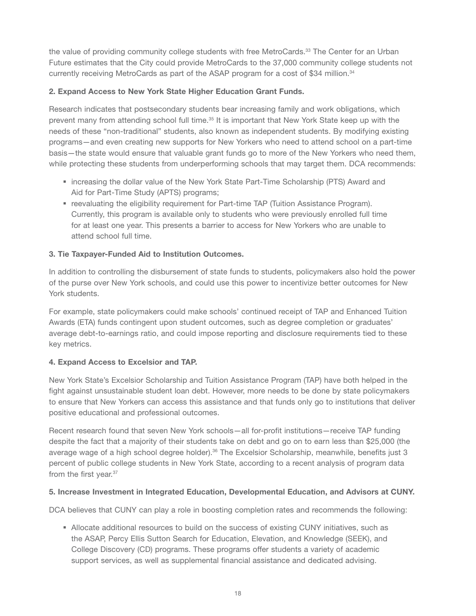the value of providing community college students with free MetroCards.<sup>33</sup> The Center for an Urban Future estimates that the City could provide MetroCards to the 37,000 community college students not currently receiving MetroCards as part of the ASAP program for a cost of \$34 million.<sup>34</sup>

#### 2. Expand Access to New York State Higher Education Grant Funds.

Research indicates that postsecondary students bear increasing family and work obligations, which prevent many from attending school full time.35 It is important that New York State keep up with the needs of these "non-traditional" students, also known as independent students. By modifying existing programs—and even creating new supports for New Yorkers who need to attend school on a part-time basis—the state would ensure that valuable grant funds go to more of the New Yorkers who need them, while protecting these students from underperforming schools that may target them. DCA recommends:

- **Exercise increasing the dollar value of the New York State Part-Time Scholarship (PTS) Award and** Aid for Part-Time Study (APTS) programs;
- **•** reevaluating the eligibility requirement for Part-time TAP (Tuition Assistance Program). Currently, this program is available only to students who were previously enrolled full time for at least one year. This presents a barrier to access for New Yorkers who are unable to attend school full time.

#### 3. Tie Taxpayer-Funded Aid to Institution Outcomes.

In addition to controlling the disbursement of state funds to students, policymakers also hold the power of the purse over New York schools, and could use this power to incentivize better outcomes for New York students.

For example, state policymakers could make schools' continued receipt of TAP and Enhanced Tuition Awards (ETA) funds contingent upon student outcomes, such as degree completion or graduates' average debt-to-earnings ratio, and could impose reporting and disclosure requirements tied to these key metrics.

#### 4. Expand Access to Excelsior and TAP.

New York State's Excelsior Scholarship and Tuition Assistance Program (TAP) have both helped in the fight against unsustainable student loan debt. However, more needs to be done by state policymakers to ensure that New Yorkers can access this assistance and that funds only go to institutions that deliver positive educational and professional outcomes.

Recent research found that seven New York schools—all for-profit institutions—receive TAP funding despite the fact that a majority of their students take on debt and go on to earn less than \$25,000 (the average wage of a high school degree holder).<sup>36</sup> The Excelsior Scholarship, meanwhile, benefits just 3 percent of public college students in New York State, according to a recent analysis of program data from the first year.<sup>37</sup>

#### 5. Increase Investment in Integrated Education, Developmental Education, and Advisors at CUNY.

DCA believes that CUNY can play a role in boosting completion rates and recommends the following:

 Allocate additional resources to build on the success of existing CUNY initiatives, such as the ASAP, Percy Ellis Sutton Search for Education, Elevation, and Knowledge (SEEK), and College Discovery (CD) programs. These programs offer students a variety of academic support services, as well as supplemental financial assistance and dedicated advising.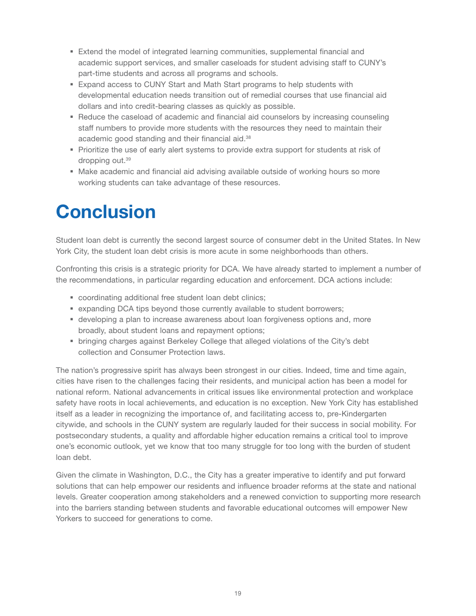- Extend the model of integrated learning communities, supplemental financial and academic support services, and smaller caseloads for student advising staff to CUNY's part-time students and across all programs and schools.
- Expand access to CUNY Start and Math Start programs to help students with developmental education needs transition out of remedial courses that use financial aid dollars and into credit-bearing classes as quickly as possible.
- **-** Reduce the caseload of academic and financial aid counselors by increasing counseling staff numbers to provide more students with the resources they need to maintain their academic good standing and their financial aid.<sup>38</sup>
- **Prioritize the use of early alert systems to provide extra support for students at risk of** dropping out.39
- Make academic and financial aid advising available outside of working hours so more working students can take advantage of these resources.

# **Conclusion**

Student loan debt is currently the second largest source of consumer debt in the United States. In New York City, the student loan debt crisis is more acute in some neighborhoods than others.

Confronting this crisis is a strategic priority for DCA. We have already started to implement a number of the recommendations, in particular regarding education and enforcement. DCA actions include:

- coordinating additional free student loan debt clinics;
- expanding DCA tips beyond those currently available to student borrowers;
- developing a plan to increase awareness about loan forgiveness options and, more broadly, about student loans and repayment options;
- bringing charges against Berkeley College that alleged violations of the City's debt collection and Consumer Protection laws.

The nation's progressive spirit has always been strongest in our cities. Indeed, time and time again, cities have risen to the challenges facing their residents, and municipal action has been a model for national reform. National advancements in critical issues like environmental protection and workplace safety have roots in local achievements, and education is no exception. New York City has established itself as a leader in recognizing the importance of, and facilitating access to, pre-Kindergarten citywide, and schools in the CUNY system are regularly lauded for their success in social mobility. For postsecondary students, a quality and affordable higher education remains a critical tool to improve one's economic outlook, yet we know that too many struggle for too long with the burden of student loan debt.

Given the climate in Washington, D.C., the City has a greater imperative to identify and put forward solutions that can help empower our residents and influence broader reforms at the state and national levels. Greater cooperation among stakeholders and a renewed conviction to supporting more research into the barriers standing between students and favorable educational outcomes will empower New Yorkers to succeed for generations to come.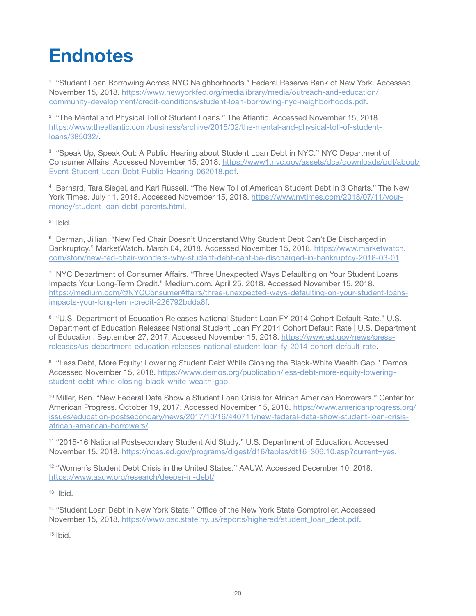# **Endnotes**

<sup>1</sup> "Student Loan Borrowing Across NYC Neighborhoods." Federal Reserve Bank of New York. Accessed November 15, 2018. [https://www.newyorkfed.org/medialibrary/media/outreach-and-education/](https://www.newyorkfed.org/medialibrary/media/outreach-and-education/community-development/credit-conditions/student-loan-borrowing-nyc-neighborhoods.pdf) [community-development/credit-conditions/student-loan-borrowing-nyc-neighborhoods.pdf](https://www.newyorkfed.org/medialibrary/media/outreach-and-education/community-development/credit-conditions/student-loan-borrowing-nyc-neighborhoods.pdf).

<sup>2</sup> "The Mental and Physical Toll of Student Loans." The Atlantic. Accessed November 15, 2018. [https://www.theatlantic.com/business/archive/2015/02/the-mental-and-physical-toll-of-student](https://www.theatlantic.com/business/archive/2015/02/the-mental-and-physical-toll-of-student-loans/385032/)[loans/385032/.](https://www.theatlantic.com/business/archive/2015/02/the-mental-and-physical-toll-of-student-loans/385032/)

<sup>3</sup> "Speak Up, Speak Out: A Public Hearing about Student Loan Debt in NYC." NYC Department of Consumer Affairs. Accessed November 15, 2018. [https://www1.nyc.gov/assets/dca/downloads/pdf/about/](https://www1.nyc.gov/assets/dca/downloads/pdf/about/Event-Student-Loan-Debt-Public-Hearing-062018.pdf) [Event-Student-Loan-Debt-Public-Hearing-062018.pdf](https://www1.nyc.gov/assets/dca/downloads/pdf/about/Event-Student-Loan-Debt-Public-Hearing-062018.pdf).

<sup>4</sup> Bernard, Tara Siegel, and Karl Russell. "The New Toll of American Student Debt in 3 Charts." The New York Times. July 11, 2018. Accessed November 15, 2018. [https://www.nytimes.com/2018/07/11/your](https://www.nytimes.com/2018/07/11/your-money/student-loan-debt-parents.html)[money/student-loan-debt-parents.html.](https://www.nytimes.com/2018/07/11/your-money/student-loan-debt-parents.html)

<sup>5</sup> Ibid.

<sup>6</sup> Berman, Jillian. "New Fed Chair Doesn't Understand Why Student Debt Can't Be Discharged in Bankruptcy." MarketWatch. March 04, 2018. Accessed November 15, 2018. [https://www.marketwatch.](https://www.marketwatch.com/story/new-fed-chair-wonders-why-student-debt-cant-be-discharged-in-bankruptcy-2018-03-01) [com/story/new-fed-chair-wonders-why-student-debt-cant-be-discharged-in-bankruptcy-2018-03-01.](https://www.marketwatch.com/story/new-fed-chair-wonders-why-student-debt-cant-be-discharged-in-bankruptcy-2018-03-01)

<sup>7</sup> NYC Department of Consumer Affairs. "Three Unexpected Ways Defaulting on Your Student Loans Impacts Your Long-Term Credit." Medium.com. April 25, 2018. Accessed November 15, 2018. [https://medium.com/@NYCConsumerAffairs/three-unexpected-ways-defaulting-on-your-student-loans](https://medium.com/@NYCConsumerAffairs/three-unexpected-ways-defaulting-on-your-student-loans-impacts-your-long-term-credit-226792bdda8f)[impacts-your-long-term-credit-226792bdda8f.](https://medium.com/@NYCConsumerAffairs/three-unexpected-ways-defaulting-on-your-student-loans-impacts-your-long-term-credit-226792bdda8f)

<sup>8</sup> "U.S. Department of Education Releases National Student Loan FY 2014 Cohort Default Rate." U.S. Department of Education Releases National Student Loan FY 2014 Cohort Default Rate | U.S. Department of Education. September 27, 2017. Accessed November 15, 2018. [https://www.ed.gov/news/press](https://www.ed.gov/news/press-releases/us-department-education-releases-national-student-loan-fy-2014-cohort-default-rate)[releases/us-department-education-releases-national-student-loan-fy-2014-cohort-default-rate](https://www.ed.gov/news/press-releases/us-department-education-releases-national-student-loan-fy-2014-cohort-default-rate).

9 "Less Debt, More Equity: Lowering Student Debt While Closing the Black-White Wealth Gap." Demos. Accessed November 15, 2018. [https://www.demos.org/publication/less-debt-more-equity-lowering](https://www.demos.org/publication/less-debt-more-equity-lowering-student-debt-while-closing-black-white-wealth-gap)[student-debt-while-closing-black-white-wealth-gap](https://www.demos.org/publication/less-debt-more-equity-lowering-student-debt-while-closing-black-white-wealth-gap).

<sup>10</sup> Miller, Ben. "New Federal Data Show a Student Loan Crisis for African American Borrowers." Center for American Progress. October 19, 2017. Accessed November 15, 2018. [https://www.americanprogress.org/](https://www.americanprogress.org/issues/education-postsecondary/news/2017/10/16/440711/new-federal-data-show-student-loan-crisis-african-american-borrowers/) [issues/education-postsecondary/news/2017/10/16/440711/new-federal-data-show-student-loan-crisis](https://www.americanprogress.org/issues/education-postsecondary/news/2017/10/16/440711/new-federal-data-show-student-loan-crisis-african-american-borrowers/)[african-american-borrowers/.](https://www.americanprogress.org/issues/education-postsecondary/news/2017/10/16/440711/new-federal-data-show-student-loan-crisis-african-american-borrowers/)

<sup>11</sup> "2015-16 National Postsecondary Student Aid Study." U.S. Department of Education. Accessed November 15, 2018. https://nces.ed.gov/programs/digest/d16/tables/dt16 306.10.asp?current=yes.

<sup>12</sup> "Women's Student Debt Crisis in the United States." AAUW. Accessed December 10, 2018. <https://www.aauw.org/research/deeper-in-debt/>

 $13$  Ibid.

<sup>14</sup> "Student Loan Debt in New York State." Office of the New York State Comptroller. Accessed November 15, 2018. [https://www.osc.state.ny.us/reports/highered/student\\_loan\\_debt.pdf.](https://www.osc.state.ny.us/reports/highered/student_loan_debt.pdf)

 $15$  Ibid.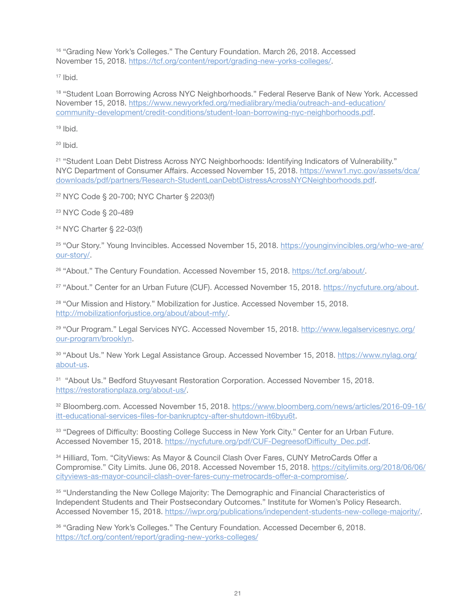<sup>16</sup> "Grading New York's Colleges." The Century Foundation. March 26, 2018. Accessed November 15, 2018. <https://tcf.org/content/report/grading-new-yorks-colleges/>.

<sup>17</sup> Ibid.

<sup>18</sup> "Student Loan Borrowing Across NYC Neighborhoods." Federal Reserve Bank of New York. Accessed November 15, 2018. [https://www.newyorkfed.org/medialibrary/media/outreach-and-education/](https://www.newyorkfed.org/medialibrary/media/outreach-and-education/community-development/credit-conditions/student-loan-borrowing-nyc-neighborhoods.pdf) [community-development/credit-conditions/student-loan-borrowing-nyc-neighborhoods.pdf](https://www.newyorkfed.org/medialibrary/media/outreach-and-education/community-development/credit-conditions/student-loan-borrowing-nyc-neighborhoods.pdf).

 $19$  Ibid.

 $20$  Ibid.

<sup>21</sup> "Student Loan Debt Distress Across NYC Neighborhoods: Identifying Indicators of Vulnerability." NYC Department of Consumer Affairs. Accessed November 15, 2018. [https://www1.nyc.gov/assets/dca/](https://www1.nyc.gov/assets/dca/downloads/pdf/partners/Research-StudentLoanDebtDistressAcrossNYCNeighborhoods.pdf) [downloads/pdf/partners/Research-StudentLoanDebtDistressAcrossNYCNeighborhoods.pdf](https://www1.nyc.gov/assets/dca/downloads/pdf/partners/Research-StudentLoanDebtDistressAcrossNYCNeighborhoods.pdf).

<sup>22</sup> NYC Code § 20-700; NYC Charter § 2203(f)

<sup>23</sup> NYC Code § 20-489

<sup>24</sup> NYC Charter § 22-03(f)

<sup>25</sup> "Our Story." Young Invincibles. Accessed November 15, 2018. [https://younginvincibles.org/who-we-are/](https://younginvincibles.org/who-we-are/our-story/) [our-story/.](https://younginvincibles.org/who-we-are/our-story/)

<sup>26</sup> "About." The Century Foundation. Accessed November 15, 2018. <https://tcf.org/about/>.

<sup>27</sup> "About." Center for an Urban Future (CUF). Accessed November 15, 2018.<https://nycfuture.org/about>.

<sup>28</sup> "Our Mission and History." Mobilization for Justice. Accessed November 15, 2018. <http://mobilizationforjustice.org/about/about-mfy/>.

<sup>29</sup> "Our Program." Legal Services NYC. Accessed November 15, 2018. [http://www.legalservicesnyc.org/](http://www.legalservicesnyc.org/our-program/brooklyn) [our-program/brooklyn.](http://www.legalservicesnyc.org/our-program/brooklyn)

30 "About Us." New York Legal Assistance Group. Accessed November 15, 2018. [https://www.nylag.org/](https://www.nylag.org/about-us) [about-us](https://www.nylag.org/about-us).

31 "About Us." Bedford Stuyvesant Restoration Corporation. Accessed November 15, 2018. [https://restorationplaza.org/about-us/.](https://restorationplaza.org/about-us/)

32 Bloomberg.com. Accessed November 15, 2018. [https://www.bloomberg.com/news/articles/2016-09-16/](https://www.bloomberg.com/news/articles/2016-09-16/itt-educational-services-files-for-bankruptcy-after-shutdown-it6byu6t) [itt-educational-services-files-for-bankruptcy-after-shutdown-it6byu6t.](https://www.bloomberg.com/news/articles/2016-09-16/itt-educational-services-files-for-bankruptcy-after-shutdown-it6byu6t)

33 "Degrees of Difficulty: Boosting College Success in New York City." Center for an Urban Future. Accessed November 15, 2018. [https://nycfuture.org/pdf/CUF-DegreesofDifficulty\\_Dec.pdf.](https://nycfuture.org/pdf/CUF-DegreesofDifficulty_Dec.pdf)

<sup>34</sup> Hilliard, Tom. "CityViews: As Mayor & Council Clash Over Fares, CUNY MetroCards Offer a Compromise." City Limits. June 06, 2018. Accessed November 15, 2018. [https://citylimits.org/2018/06/06/](https://citylimits.org/2018/06/06/cityviews-as-mayor-council-clash-over-fares-cuny-metrocards-offer-a-compromise/) [cityviews-as-mayor-council-clash-over-fares-cuny-metrocards-offer-a-compromise/.](https://citylimits.org/2018/06/06/cityviews-as-mayor-council-clash-over-fares-cuny-metrocards-offer-a-compromise/)

35 "Understanding the New College Majority: The Demographic and Financial Characteristics of Independent Students and Their Postsecondary Outcomes." Institute for Women's Policy Research. Accessed November 15, 2018. [https://iwpr.org/publications/independent-students-new-college-majority/.](https://iwpr.org/publications/independent-students-new-college-majority/)

36 "Grading New York's Colleges." The Century Foundation. Accessed December 6, 2018. <https://tcf.org/content/report/grading-new-yorks-colleges/>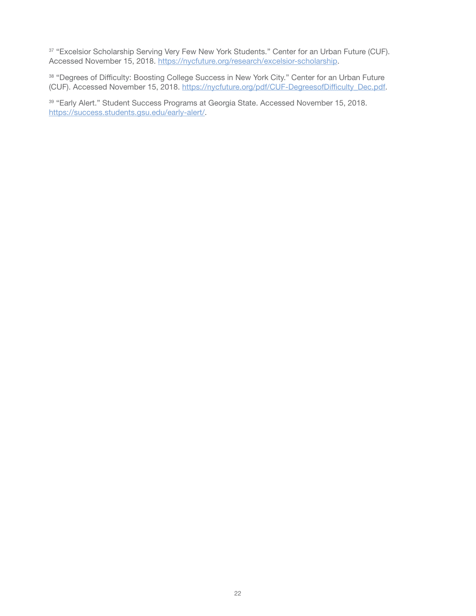37 "Excelsior Scholarship Serving Very Few New York Students." Center for an Urban Future (CUF). Accessed November 15, 2018.<https://nycfuture.org/research/excelsior-scholarship>.

38 "Degrees of Difficulty: Boosting College Success in New York City." Center for an Urban Future (CUF). Accessed November 15, 2018. [https://nycfuture.org/pdf/CUF-DegreesofDifficulty\\_Dec.pdf.](https://nycfuture.org/pdf/CUF-DegreesofDifficulty_Dec.pdf)

39 "Early Alert." Student Success Programs at Georgia State. Accessed November 15, 2018. <https://success.students.gsu.edu/early-alert/>.